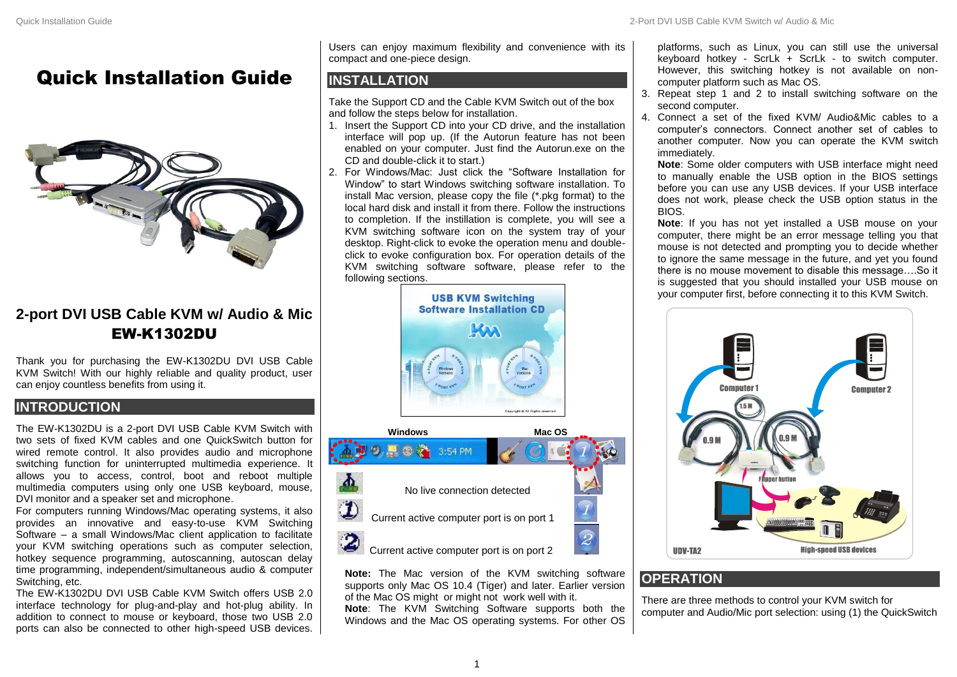# Quick Installation Guide



## **2-port DVI USB Cable KVM w/ Audio & Mic** EW-K1302DU

Thank you for purchasing the EW-K1302DU DVI USB Cable KVM Switch! With our highly reliable and quality product, user can enjoy countless benefits from using it.

## **INTRODUCTION**

The EW-K1302DU is a 2-port DVI USB Cable KVM Switch with two sets of fixed KVM cables and one QuickSwitch button for wired remote control. It also provides audio and microphone switching function for uninterrupted multimedia experience. It allows you to access, control, boot and reboot multiple multimedia computers using only one USB keyboard, mouse, DVI monitor and a speaker set and microphone.

For computers running Windows/Mac operating systems, it also provides an innovative and easy-to-use KVM Switching Software – a small Windows/Mac client application to facilitate your KVM switching operations such as computer selection, hotkey sequence programming, autoscanning, autoscan delay time programming, independent/simultaneous audio & computer Switching, etc.

The EW-K1302DU DVI USB Cable KVM Switch offers USB 2.0 interface technology for plug-and-play and hot-plug ability. In addition to connect to mouse or keyboard, those two USB 2.0 ports can also be connected to other high-speed USB devices. Users can enjoy maximum flexibility and convenience with its compact and one-piece design.

## **INSTALLATION**

Take the Support CD and the Cable KVM Switch out of the box and follow the steps below for installation.

- 1. Insert the Support CD into your CD drive, and the installation interface will pop up. (If the Autorun feature has not been enabled on your computer. Just find the Autorun.exe on the CD and double-click it to start.)
- 2. For Windows/Mac: Just click the "Software Installation for Window" to start Windows switching software installation. To install Mac version, please copy the file (\*.pkg format) to the local hard disk and install it from there. Follow the instructions to completion. If the instillation is complete, you will see a KVM switching software icon on the system tray of your desktop. Right-click to evoke the operation menu and doubleclick to evoke configuration box. For operation details of the KVM switching software software, please refer to the following sections.



 $\bullet$ Current active computer port is on port 2

**Note:** The Mac version of the KVM switching software supports only Mac OS 10.4 (Tiger) and later. Earlier version of the Mac OS might or might not work well with it.

**Note**: The KVM Switching Software supports both the Windows and the Mac OS operating systems. For other OS platforms, such as Linux, you can still use the universal keyboard hotkey - ScrLk + ScrLk - to switch computer. However, this switching hotkey is not available on noncomputer platform such as Mac OS.

- 3. Repeat step 1 and 2 to install switching software on the second computer.
- 4. Connect a set of the fixed KVM/ Audio&Mic cables to a computer's connectors. Connect another set of cables to another computer. Now you can operate the KVM switch immediately.

**Note**: Some older computers with USB interface might need to manually enable the USB option in the BIOS settings before you can use any USB devices. If your USB interface does not work, please check the USB option status in the BIOS.

**Note**: If you has not yet installed a USB mouse on your computer, there might be an error message telling you that mouse is not detected and prompting you to decide whether to ignore the same message in the future, and yet you found there is no mouse movement to disable this message….So it is suggested that you should installed your USB mouse on your computer first, before connecting it to this KVM Switch.



## **OPERATION**

There are three methods to control your KVM switch for computer and Audio/Mic port selection: using (1) the QuickSwitch